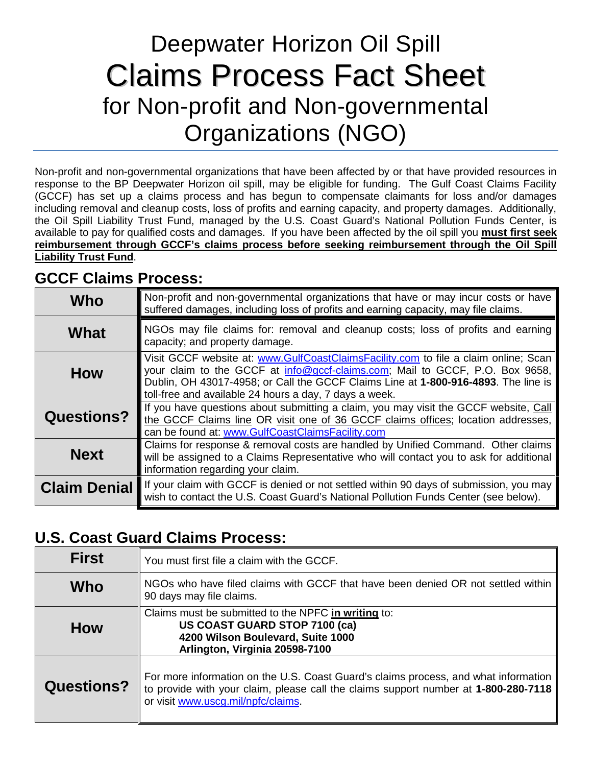# Deepwater Horizon Oil Spill Claims Process Fact Sheet for Non-profit and Non-governmental Organizations (NGO)

Non-profit and non-governmental organizations that have been affected by or that have provided resources in response to the BP Deepwater Horizon oil spill, may be eligible for funding. The Gulf Coast Claims Facility (GCCF) has set up a claims process and has begun to compensate claimants for loss and/or damages including removal and cleanup costs, loss of profits and earning capacity, and property damages. Additionally, the Oil Spill Liability Trust Fund, managed by the U.S. Coast Guard's National Pollution Funds Center, is available to pay for qualified costs and damages. If you have been affected by the oil spill you **must first seek reimbursement through GCCF's claims process before seeking reimbursement through the Oil Spill Liability Trust Fund**.

## **GCCF Claims Process:**

| Who                 | Non-profit and non-governmental organizations that have or may incur costs or have<br>suffered damages, including loss of profits and earning capacity, may file claims.                                                                                                                                              |
|---------------------|-----------------------------------------------------------------------------------------------------------------------------------------------------------------------------------------------------------------------------------------------------------------------------------------------------------------------|
| What                | NGOs may file claims for: removal and cleanup costs; loss of profits and earning<br>capacity; and property damage.                                                                                                                                                                                                    |
| <b>How</b>          | Visit GCCF website at: www.GulfCoastClaimsFacility.com to file a claim online; Scan  <br>your claim to the GCCF at info@gccf-claims.com; Mail to GCCF, P.O. Box 9658,<br>Dublin, OH 43017-4958; or Call the GCCF Claims Line at 1-800-916-4893. The line is<br>toll-free and available 24 hours a day, 7 days a week. |
| <b>Questions?</b>   | If you have questions about submitting a claim, you may visit the GCCF website, Call<br>the GCCF Claims line OR visit one of 36 GCCF claims offices; location addresses,<br>can be found at: www.GulfCoastClaimsFacility.com                                                                                          |
| <b>Next</b>         | Claims for response & removal costs are handled by Unified Command. Other claims<br>will be assigned to a Claims Representative who will contact you to ask for additional<br>information regarding your claim.                                                                                                       |
| <b>Claim Denial</b> | If your claim with GCCF is denied or not settled within 90 days of submission, you may<br>wish to contact the U.S. Coast Guard's National Pollution Funds Center (see below).                                                                                                                                         |

### **U.S. Coast Guard Claims Process:**

| <b>First</b>      | You must first file a claim with the GCCF.                                                                                                                                                                       |
|-------------------|------------------------------------------------------------------------------------------------------------------------------------------------------------------------------------------------------------------|
| Who               | NGOs who have filed claims with GCCF that have been denied OR not settled within<br>90 days may file claims.                                                                                                     |
| <b>How</b>        | Claims must be submitted to the NPFC in writing to:<br>US COAST GUARD STOP 7100 (ca)<br>4200 Wilson Boulevard, Suite 1000<br>Arlington, Virginia 20598-7100                                                      |
| <b>Questions?</b> | For more information on the U.S. Coast Guard's claims process, and what information<br>to provide with your claim, please call the claims support number at 1-800-280-7118<br>or visit www.uscg.mil/npfc/claims. |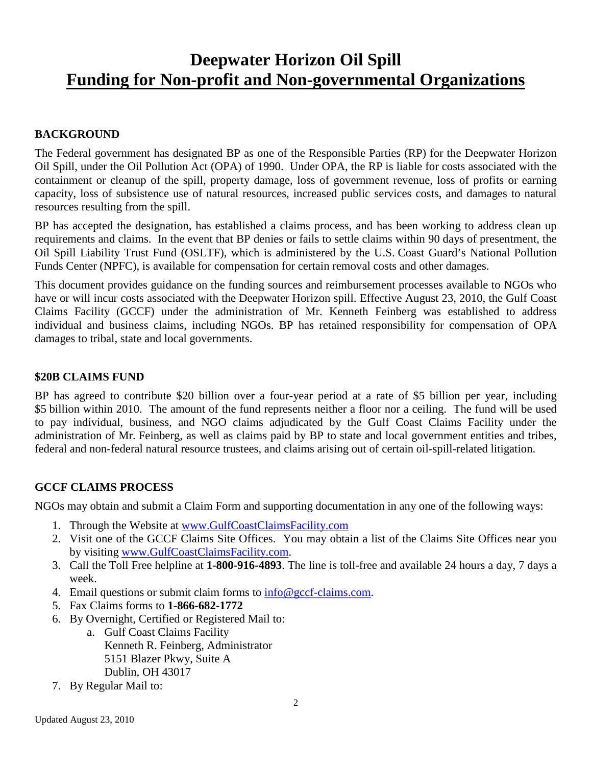## **Deepwater Horizon Oil Spill Funding for Non-profit and Non-governmental Organizations**

#### **BACKGROUND**

The Federal government has designated BP as one of the Responsible Parties (RP) for the Deepwater Horizon Oil Spill, under the Oil Pollution Act (OPA) of 1990. Under OPA, the RP is liable for costs associated with the containment or cleanup of the spill, property damage, loss of government revenue, loss of profits or earning capacity, loss of subsistence use of natural resources, increased public services costs, and damages to natural resources resulting from the spill.

BP has accepted the designation, has established a claims process, and has been working to address clean up requirements and claims. In the event that BP denies or fails to settle claims within 90 days of presentment, the Oil Spill Liability Trust Fund (OSLTF), which is administered by the U.S. Coast Guard's National Pollution Funds Center (NPFC), is available for compensation for certain removal costs and other damages.

This document provides guidance on the funding sources and reimbursement processes available to NGOs who have or will incur costs associated with the Deepwater Horizon spill. Effective August 23, 2010, the Gulf Coast Claims Facility (GCCF) under the administration of Mr. Kenneth Feinberg was established to address individual and business claims, including NGOs. BP has retained responsibility for compensation of OPA damages to tribal, state and local governments.

#### **\$20B CLAIMS FUND**

BP has agreed to contribute \$20 billion over a four-year period at a rate of \$5 billion per year, including \$5 billion within 2010. The amount of the fund represents neither a floor nor a ceiling. The fund will be used to pay individual, business, and NGO claims adjudicated by the Gulf Coast Claims Facility under the administration of Mr. Feinberg, as well as claims paid by BP to state and local government entities and tribes, federal and non-federal natural resource trustees, and claims arising out of certain oil-spill-related litigation.

#### **GCCF CLAIMS PROCESS**

NGOs may obtain and submit a Claim Form and supporting documentation in any one of the following ways:

- 1. Through the Website at [www.GulfCoastClaimsFacility.com](http://www.gulfcoastclaimsfacility.com/)
- 2. Visit one of the GCCF Claims Site Offices. You may obtain a list of the Claims Site Offices near you by visiting [www.GulfCoastClaimsFacility.com.](http://www.gulfcoastclaimsfacility.com/)
- 3. Call the Toll Free helpline at **1-800-916-4893**. The line is toll-free and available 24 hours a day, 7 days a week.
- 4. Email questions or submit claim forms to [info@gccf-claims.com.](mailto:info@gccf-claims.com)
- 5. Fax Claims forms to **1-866-682-1772**
- 6. By Overnight, Certified or Registered Mail to:
	- a. Gulf Coast Claims Facility Kenneth R. Feinberg, Administrator 5151 Blazer Pkwy, Suite A Dublin, OH 43017
- 7. By Regular Mail to: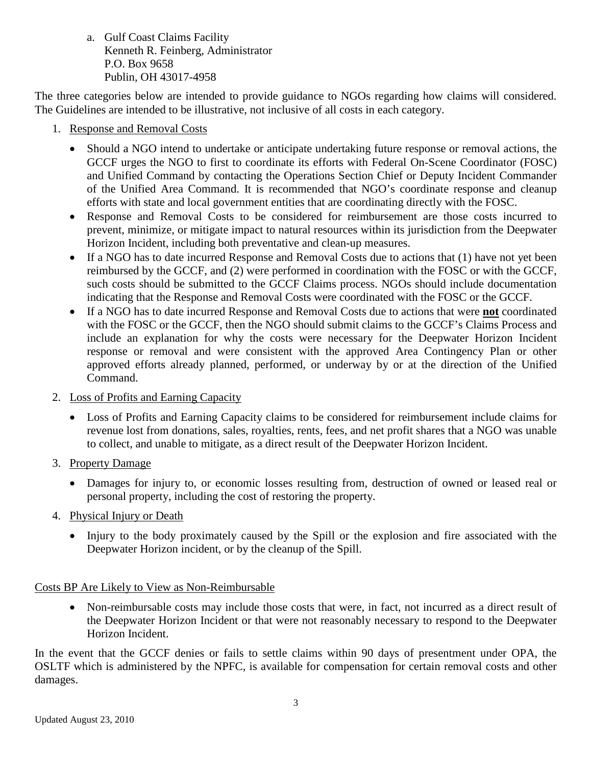a. Gulf Coast Claims Facility Kenneth R. Feinberg, Administrator P.O. Box 9658 Publin, OH 43017-4958

The three categories below are intended to provide guidance to NGOs regarding how claims will considered. The Guidelines are intended to be illustrative, not inclusive of all costs in each category.

- 1. Response and Removal Costs
	- Should a NGO intend to undertake or anticipate undertaking future response or removal actions, the GCCF urges the NGO to first to coordinate its efforts with Federal On-Scene Coordinator (FOSC) and Unified Command by contacting the Operations Section Chief or Deputy Incident Commander of the Unified Area Command. It is recommended that NGO's coordinate response and cleanup efforts with state and local government entities that are coordinating directly with the FOSC.
	- Response and Removal Costs to be considered for reimbursement are those costs incurred to prevent, minimize, or mitigate impact to natural resources within its jurisdiction from the Deepwater Horizon Incident, including both preventative and clean-up measures.
	- If a NGO has to date incurred Response and Removal Costs due to actions that (1) have not vet been reimbursed by the GCCF, and (2) were performed in coordination with the FOSC or with the GCCF, such costs should be submitted to the GCCF Claims process. NGOs should include documentation indicating that the Response and Removal Costs were coordinated with the FOSC or the GCCF.
	- If a NGO has to date incurred Response and Removal Costs due to actions that were **not** coordinated with the FOSC or the GCCF, then the NGO should submit claims to the GCCF's Claims Process and include an explanation for why the costs were necessary for the Deepwater Horizon Incident response or removal and were consistent with the approved Area Contingency Plan or other approved efforts already planned, performed, or underway by or at the direction of the Unified Command.
- 2. Loss of Profits and Earning Capacity
	- Loss of Profits and Earning Capacity claims to be considered for reimbursement include claims for revenue lost from donations, sales, royalties, rents, fees, and net profit shares that a NGO was unable to collect, and unable to mitigate, as a direct result of the Deepwater Horizon Incident.
- 3. Property Damage
	- Damages for injury to, or economic losses resulting from, destruction of owned or leased real or personal property, including the cost of restoring the property.
- 4. Physical Injury or Death
	- Injury to the body proximately caused by the Spill or the explosion and fire associated with the Deepwater Horizon incident, or by the cleanup of the Spill.

#### Costs BP Are Likely to View as Non-Reimbursable

• Non-reimbursable costs may include those costs that were, in fact, not incurred as a direct result of the Deepwater Horizon Incident or that were not reasonably necessary to respond to the Deepwater Horizon Incident.

In the event that the GCCF denies or fails to settle claims within 90 days of presentment under OPA, the OSLTF which is administered by the NPFC, is available for compensation for certain removal costs and other damages.